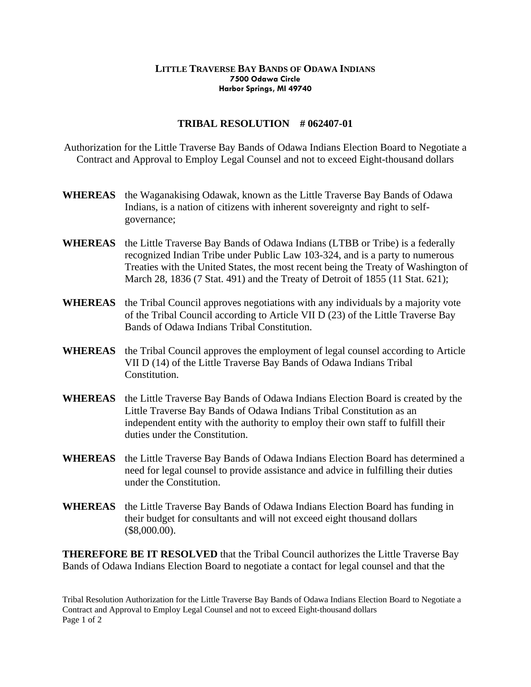## **LITTLE TRAVERSE BAY BANDS OF ODAWA INDIANS 7500 Odawa Circle Harbor Springs, MI 49740**

## **TRIBAL RESOLUTION # 062407-01**

Authorization for the Little Traverse Bay Bands of Odawa Indians Election Board to Negotiate a Contract and Approval to Employ Legal Counsel and not to exceed Eight-thousand dollars

- **WHEREAS** the Waganakising Odawak, known as the Little Traverse Bay Bands of Odawa Indians, is a nation of citizens with inherent sovereignty and right to selfgovernance;
- **WHEREAS** the Little Traverse Bay Bands of Odawa Indians (LTBB or Tribe) is a federally recognized Indian Tribe under Public Law 103-324, and is a party to numerous Treaties with the United States, the most recent being the Treaty of Washington of March 28, 1836 (7 Stat. 491) and the Treaty of Detroit of 1855 (11 Stat. 621);
- **WHEREAS** the Tribal Council approves negotiations with any individuals by a majority vote of the Tribal Council according to Article VII D (23) of the Little Traverse Bay Bands of Odawa Indians Tribal Constitution.
- **WHEREAS** the Tribal Council approves the employment of legal counsel according to Article VII D (14) of the Little Traverse Bay Bands of Odawa Indians Tribal Constitution.
- **WHEREAS** the Little Traverse Bay Bands of Odawa Indians Election Board is created by the Little Traverse Bay Bands of Odawa Indians Tribal Constitution as an independent entity with the authority to employ their own staff to fulfill their duties under the Constitution.
- **WHEREAS** the Little Traverse Bay Bands of Odawa Indians Election Board has determined a need for legal counsel to provide assistance and advice in fulfilling their duties under the Constitution.
- **WHEREAS** the Little Traverse Bay Bands of Odawa Indians Election Board has funding in their budget for consultants and will not exceed eight thousand dollars (\$8,000.00).

**THEREFORE BE IT RESOLVED** that the Tribal Council authorizes the Little Traverse Bay Bands of Odawa Indians Election Board to negotiate a contact for legal counsel and that the

Tribal Resolution Authorization for the Little Traverse Bay Bands of Odawa Indians Election Board to Negotiate a Contract and Approval to Employ Legal Counsel and not to exceed Eight-thousand dollars Page 1 of 2